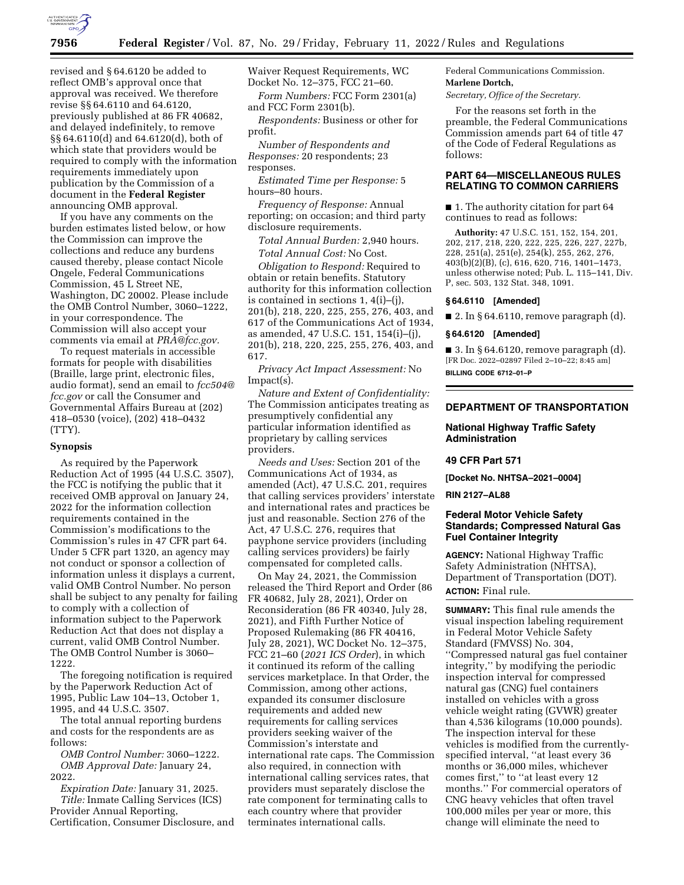

revised and § 64.6120 be added to reflect OMB's approval once that approval was received. We therefore revise §§ 64.6110 and 64.6120, previously published at 86 FR 40682, and delayed indefinitely, to remove §§ 64.6110(d) and 64.6120(d), both of which state that providers would be required to comply with the information requirements immediately upon publication by the Commission of a document in the **Federal Register**  announcing OMB approval.

If you have any comments on the burden estimates listed below, or how the Commission can improve the collections and reduce any burdens caused thereby, please contact Nicole Ongele, Federal Communications Commission, 45 L Street NE, Washington, DC 20002. Please include the OMB Control Number, 3060–1222, in your correspondence. The Commission will also accept your comments via email at *[PRA@fcc.gov.](mailto:PRA@fcc.gov)* 

To request materials in accessible formats for people with disabilities (Braille, large print, electronic files, audio format), send an email to *[fcc504@](mailto:fcc504@fcc.gov) [fcc.gov](mailto:fcc504@fcc.gov)* or call the Consumer and Governmental Affairs Bureau at (202) 418–0530 (voice), (202) 418–0432 (TTY).

#### **Synopsis**

As required by the Paperwork Reduction Act of 1995 (44 U.S.C. 3507), the FCC is notifying the public that it received OMB approval on January 24, 2022 for the information collection requirements contained in the Commission's modifications to the Commission's rules in 47 CFR part 64. Under 5 CFR part 1320, an agency may not conduct or sponsor a collection of information unless it displays a current, valid OMB Control Number. No person shall be subject to any penalty for failing to comply with a collection of information subject to the Paperwork Reduction Act that does not display a current, valid OMB Control Number. The OMB Control Number is 3060– 1222.

The foregoing notification is required by the Paperwork Reduction Act of 1995, Public Law 104–13, October 1, 1995, and 44 U.S.C. 3507.

The total annual reporting burdens and costs for the respondents are as follows:

*OMB Control Number:* 3060–1222. *OMB Approval Date:* January 24, 2022.

*Expiration Date:* January 31, 2025. *Title:* Inmate Calling Services (ICS) Provider Annual Reporting, Certification, Consumer Disclosure, and Waiver Request Requirements, WC Docket No. 12–375, FCC 21–60.

*Form Numbers:* FCC Form 2301(a) and FCC Form 2301(b).

*Respondents:* Business or other for profit.

*Number of Respondents and Responses:* 20 respondents; 23 responses.

*Estimated Time per Response:* 5 hours–80 hours.

*Frequency of Response:* Annual reporting; on occasion; and third party disclosure requirements.

*Total Annual Burden:* 2,940 hours. *Total Annual Cost:* No Cost.

*Obligation to Respond:* Required to obtain or retain benefits. Statutory authority for this information collection is contained in sections 1, 4(i)–(j), 201(b), 218, 220, 225, 255, 276, 403, and 617 of the Communications Act of 1934, as amended, 47 U.S.C. 151, 154(i)–(j), 201(b), 218, 220, 225, 255, 276, 403, and 617.

*Privacy Act Impact Assessment:* No Impact(s).

*Nature and Extent of Confidentiality:*  The Commission anticipates treating as presumptively confidential any particular information identified as proprietary by calling services providers.

*Needs and Uses:* Section 201 of the Communications Act of 1934, as amended (Act), 47 U.S.C. 201, requires that calling services providers' interstate and international rates and practices be just and reasonable. Section 276 of the Act, 47 U.S.C. 276, requires that payphone service providers (including calling services providers) be fairly compensated for completed calls.

On May 24, 2021, the Commission released the Third Report and Order (86 FR 40682, July 28, 2021), Order on Reconsideration (86 FR 40340, July 28, 2021), and Fifth Further Notice of Proposed Rulemaking (86 FR 40416, July 28, 2021), WC Docket No. 12–375, FCC 21–60 (*2021 ICS Order*), in which it continued its reform of the calling services marketplace. In that Order, the Commission, among other actions, expanded its consumer disclosure requirements and added new requirements for calling services providers seeking waiver of the Commission's interstate and international rate caps. The Commission also required, in connection with international calling services rates, that providers must separately disclose the rate component for terminating calls to each country where that provider terminates international calls.

Federal Communications Commission. **Marlene Dortch,** 

*Secretary, Office of the Secretary.* 

For the reasons set forth in the preamble, the Federal Communications Commission amends part 64 of title 47 of the Code of Federal Regulations as follows:

# **PART 64—MISCELLANEOUS RULES RELATING TO COMMON CARRIERS**

■ 1. The authority citation for part 64 continues to read as follows:

**Authority:** 47 U.S.C. 151, 152, 154, 201, 202, 217, 218, 220, 222, 225, 226, 227, 227b, 228, 251(a), 251(e), 254(k), 255, 262, 276, 403(b)(2)(B), (c), 616, 620, 716, 1401–1473, unless otherwise noted; Pub. L. 115–141, Div. P, sec. 503, 132 Stat. 348, 1091.

## **§ 64.6110 [Amended]**

 $\blacksquare$  2. In § 64.6110, remove paragraph (d).

#### **§ 64.6120 [Amended]**

 $\blacksquare$  3. In § 64.6120, remove paragraph (d). [FR Doc. 2022–02897 Filed 2–10–22; 8:45 am] **BILLING CODE 6712–01–P** 

# **DEPARTMENT OF TRANSPORTATION**

# **National Highway Traffic Safety Administration**

# **49 CFR Part 571**

**[Docket No. NHTSA–2021–0004]** 

#### **RIN 2127–AL88**

# **Federal Motor Vehicle Safety Standards; Compressed Natural Gas Fuel Container Integrity**

**AGENCY:** National Highway Traffic Safety Administration (NHTSA), Department of Transportation (DOT). **ACTION:** Final rule.

**SUMMARY:** This final rule amends the visual inspection labeling requirement in Federal Motor Vehicle Safety Standard (FMVSS) No. 304, ''Compressed natural gas fuel container integrity,'' by modifying the periodic inspection interval for compressed natural gas (CNG) fuel containers installed on vehicles with a gross vehicle weight rating (GVWR) greater than 4,536 kilograms (10,000 pounds). The inspection interval for these vehicles is modified from the currentlyspecified interval, ''at least every 36 months or 36,000 miles, whichever comes first,'' to ''at least every 12 months.'' For commercial operators of CNG heavy vehicles that often travel 100,000 miles per year or more, this change will eliminate the need to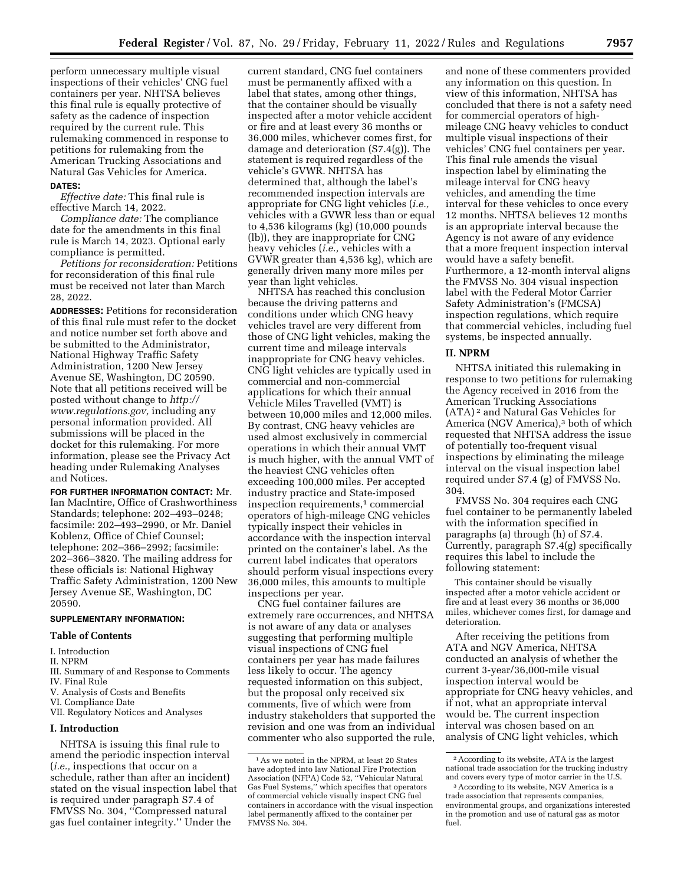perform unnecessary multiple visual inspections of their vehicles' CNG fuel containers per year. NHTSA believes this final rule is equally protective of safety as the cadence of inspection required by the current rule. This rulemaking commenced in response to petitions for rulemaking from the American Trucking Associations and Natural Gas Vehicles for America.

## **DATES:**

*Effective date:* This final rule is effective March 14, 2022.

*Compliance date:* The compliance date for the amendments in this final rule is March 14, 2023. Optional early compliance is permitted.

*Petitions for reconsideration:* Petitions for reconsideration of this final rule must be received not later than March 28, 2022.

**ADDRESSES:** Petitions for reconsideration of this final rule must refer to the docket and notice number set forth above and be submitted to the Administrator, National Highway Traffic Safety Administration, 1200 New Jersey Avenue SE, Washington, DC 20590. Note that all petitions received will be posted without change to *[http://](http://www.regulations.gov) [www.regulations.gov,](http://www.regulations.gov)* including any personal information provided. All submissions will be placed in the docket for this rulemaking. For more information, please see the Privacy Act heading under Rulemaking Analyses and Notices.

**FOR FURTHER INFORMATION CONTACT:** Mr. Ian MacIntire, Office of Crashworthiness Standards; telephone: 202–493–0248; facsimile: 202–493–2990, or Mr. Daniel Koblenz, Office of Chief Counsel; telephone: 202–366–2992; facsimile: 202–366–3820. The mailing address for these officials is: National Highway Traffic Safety Administration, 1200 New Jersey Avenue SE, Washington, DC 20590.

# **SUPPLEMENTARY INFORMATION:**

#### **Table of Contents**

- I. Introduction
- II. NPRM
- III. Summary of and Response to Comments
- IV. Final Rule
- V. Analysis of Costs and Benefits VI. Compliance Date

#### **I. Introduction**

NHTSA is issuing this final rule to amend the periodic inspection interval (*i.e.,* inspections that occur on a schedule, rather than after an incident) stated on the visual inspection label that is required under paragraph S7.4 of FMVSS No. 304, ''Compressed natural gas fuel container integrity.'' Under the

current standard, CNG fuel containers must be permanently affixed with a label that states, among other things, that the container should be visually inspected after a motor vehicle accident or fire and at least every 36 months or 36,000 miles, whichever comes first, for damage and deterioration (S7.4(g)). The statement is required regardless of the vehicle's GVWR. NHTSA has determined that, although the label's recommended inspection intervals are appropriate for CNG light vehicles (*i.e.,*  vehicles with a GVWR less than or equal to 4,536 kilograms (kg) (10,000 pounds (lb)), they are inappropriate for CNG heavy vehicles (*i.e.,* vehicles with a GVWR greater than 4,536 kg), which are generally driven many more miles per year than light vehicles.

NHTSA has reached this conclusion because the driving patterns and conditions under which CNG heavy vehicles travel are very different from those of CNG light vehicles, making the current time and mileage intervals inappropriate for CNG heavy vehicles. CNG light vehicles are typically used in commercial and non-commercial applications for which their annual Vehicle Miles Travelled (VMT) is between 10,000 miles and 12,000 miles. By contrast, CNG heavy vehicles are used almost exclusively in commercial operations in which their annual VMT is much higher, with the annual VMT of the heaviest CNG vehicles often exceeding 100,000 miles. Per accepted industry practice and State-imposed inspection requirements,<sup>1</sup> commercial operators of high-mileage CNG vehicles typically inspect their vehicles in accordance with the inspection interval printed on the container's label. As the current label indicates that operators should perform visual inspections every 36,000 miles, this amounts to multiple inspections per year.

CNG fuel container failures are extremely rare occurrences, and NHTSA is not aware of any data or analyses suggesting that performing multiple visual inspections of CNG fuel containers per year has made failures less likely to occur. The agency requested information on this subject, but the proposal only received six comments, five of which were from industry stakeholders that supported the revision and one was from an individual commenter who also supported the rule,

and none of these commenters provided any information on this question. In view of this information, NHTSA has concluded that there is not a safety need for commercial operators of highmileage CNG heavy vehicles to conduct multiple visual inspections of their vehicles' CNG fuel containers per year. This final rule amends the visual inspection label by eliminating the mileage interval for CNG heavy vehicles, and amending the time interval for these vehicles to once every 12 months. NHTSA believes 12 months is an appropriate interval because the Agency is not aware of any evidence that a more frequent inspection interval would have a safety benefit. Furthermore, a 12-month interval aligns the FMVSS No. 304 visual inspection label with the Federal Motor Carrier Safety Administration's (FMCSA) inspection regulations, which require that commercial vehicles, including fuel systems, be inspected annually.

#### **II. NPRM**

NHTSA initiated this rulemaking in response to two petitions for rulemaking the Agency received in 2016 from the American Trucking Associations (ATA) 2 and Natural Gas Vehicles for America (NGV America),3 both of which requested that NHTSA address the issue of potentially too-frequent visual inspections by eliminating the mileage interval on the visual inspection label required under S7.4 (g) of FMVSS No. 304.

FMVSS No. 304 requires each CNG fuel container to be permanently labeled with the information specified in paragraphs (a) through (h) of S7.4. Currently, paragraph S7.4(g) specifically requires this label to include the following statement:

This container should be visually inspected after a motor vehicle accident or fire and at least every 36 months or 36,000 miles, whichever comes first, for damage and deterioration.

After receiving the petitions from ATA and NGV America, NHTSA conducted an analysis of whether the current 3-year/36,000-mile visual inspection interval would be appropriate for CNG heavy vehicles, and if not, what an appropriate interval would be. The current inspection interval was chosen based on an analysis of CNG light vehicles, which

VII. Regulatory Notices and Analyses

 $^{\rm 1}\hspace{0.5mm}{\rm As}$  we noted in the NPRM, at least 20 States have adopted into law National Fire Protection Association (NFPA) Code 52, ''Vehicular Natural Gas Fuel Systems,'' which specifies that operators of commercial vehicle visually inspect CNG fuel containers in accordance with the visual inspection label permanently affixed to the container per FMVSS No. 304.

<sup>2</sup>According to its website, ATA is the largest national trade association for the trucking industry and covers every type of motor carrier in the U.S.

<sup>3</sup>According to its website, NGV America is a trade association that represents companies, environmental groups, and organizations interested in the promotion and use of natural gas as motor fuel.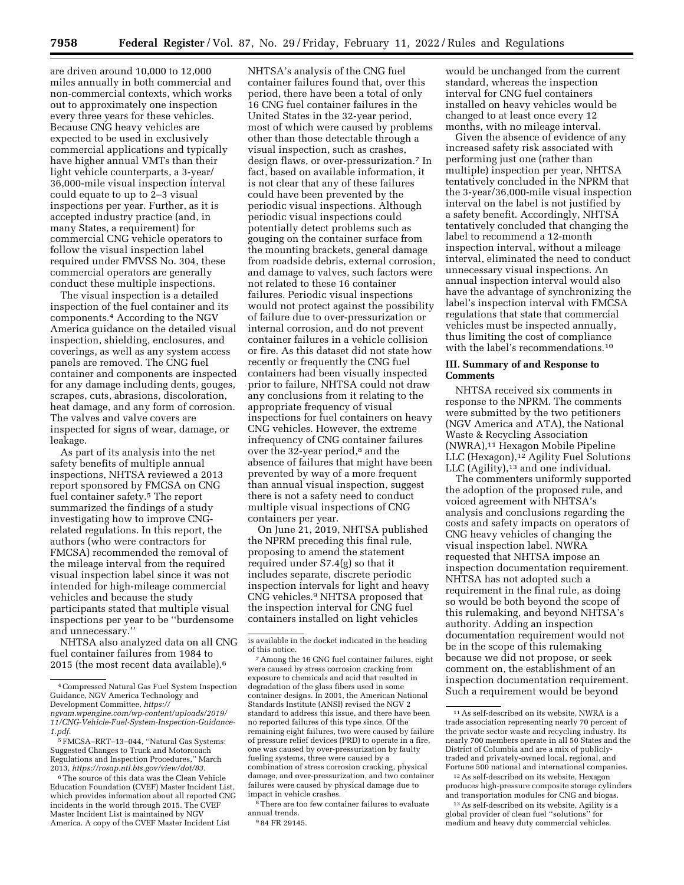are driven around 10,000 to 12,000 miles annually in both commercial and non-commercial contexts, which works out to approximately one inspection every three years for these vehicles. Because CNG heavy vehicles are expected to be used in exclusively commercial applications and typically have higher annual VMTs than their light vehicle counterparts, a 3-year/ 36,000-mile visual inspection interval could equate to up to 2–3 visual inspections per year. Further, as it is accepted industry practice (and, in many States, a requirement) for commercial CNG vehicle operators to follow the visual inspection label required under FMVSS No. 304, these commercial operators are generally conduct these multiple inspections.

The visual inspection is a detailed inspection of the fuel container and its components.4 According to the NGV America guidance on the detailed visual inspection, shielding, enclosures, and coverings, as well as any system access panels are removed. The CNG fuel container and components are inspected for any damage including dents, gouges, scrapes, cuts, abrasions, discoloration, heat damage, and any form of corrosion. The valves and valve covers are inspected for signs of wear, damage, or leakage.

As part of its analysis into the net safety benefits of multiple annual inspections, NHTSA reviewed a 2013 report sponsored by FMCSA on CNG fuel container safety.5 The report summarized the findings of a study investigating how to improve CNGrelated regulations. In this report, the authors (who were contractors for FMCSA) recommended the removal of the mileage interval from the required visual inspection label since it was not intended for high-mileage commercial vehicles and because the study participants stated that multiple visual inspections per year to be ''burdensome and unnecessary.''

NHTSA also analyzed data on all CNG fuel container failures from 1984 to 2015 (the most recent data available).6

NHTSA's analysis of the CNG fuel container failures found that, over this period, there have been a total of only 16 CNG fuel container failures in the United States in the 32-year period, most of which were caused by problems other than those detectable through a visual inspection, such as crashes, design flaws, or over-pressurization.7 In fact, based on available information, it is not clear that any of these failures could have been prevented by the periodic visual inspections. Although periodic visual inspections could potentially detect problems such as gouging on the container surface from the mounting brackets, general damage from roadside debris, external corrosion, and damage to valves, such factors were not related to these 16 container failures. Periodic visual inspections would not protect against the possibility of failure due to over-pressurization or internal corrosion, and do not prevent container failures in a vehicle collision or fire. As this dataset did not state how recently or frequently the CNG fuel containers had been visually inspected prior to failure, NHTSA could not draw any conclusions from it relating to the appropriate frequency of visual inspections for fuel containers on heavy CNG vehicles. However, the extreme infrequency of CNG container failures over the 32-year period,<sup>8</sup> and the absence of failures that might have been prevented by way of a more frequent than annual visual inspection, suggest there is not a safety need to conduct multiple visual inspections of CNG containers per year.

On June 21, 2019, NHTSA published the NPRM preceding this final rule, proposing to amend the statement required under S7.4(g) so that it includes separate, discrete periodic inspection intervals for light and heavy CNG vehicles.9 NHTSA proposed that the inspection interval for CNG fuel containers installed on light vehicles

8There are too few container failures to evaluate annual trends.

9 84 FR 29145.

would be unchanged from the current standard, whereas the inspection interval for CNG fuel containers installed on heavy vehicles would be changed to at least once every 12 months, with no mileage interval.

Given the absence of evidence of any increased safety risk associated with performing just one (rather than multiple) inspection per year, NHTSA tentatively concluded in the NPRM that the 3-year/36,000-mile visual inspection interval on the label is not justified by a safety benefit. Accordingly, NHTSA tentatively concluded that changing the label to recommend a 12-month inspection interval, without a mileage interval, eliminated the need to conduct unnecessary visual inspections. An annual inspection interval would also have the advantage of synchronizing the label's inspection interval with FMCSA regulations that state that commercial vehicles must be inspected annually, thus limiting the cost of compliance with the label's recommendations.10

### **III. Summary of and Response to Comments**

NHTSA received six comments in response to the NPRM. The comments were submitted by the two petitioners (NGV America and ATA), the National Waste & Recycling Association (NWRA),11 Hexagon Mobile Pipeline LLC (Hexagon),<sup>12</sup> Agility Fuel Solutions LLC (Agility), $13$  and one individual.

The commenters uniformly supported the adoption of the proposed rule, and voiced agreement with NHTSA's analysis and conclusions regarding the costs and safety impacts on operators of CNG heavy vehicles of changing the visual inspection label. NWRA requested that NHTSA impose an inspection documentation requirement. NHTSA has not adopted such a requirement in the final rule, as doing so would be both beyond the scope of this rulemaking, and beyond NHTSA's authority. Adding an inspection documentation requirement would not be in the scope of this rulemaking because we did not propose, or seek comment on, the establishment of an inspection documentation requirement. Such a requirement would be beyond

<sup>4</sup>Compressed Natural Gas Fuel System Inspection Guidance, NGV America Technology and Development Committee, *[https://](https://ngvam.wpengine.com/wp-content/uploads/2019/11/CNG-Vehicle-Fuel-System-Inspection-Guidance-1.pdf)*

*[ngvam.wpengine.com/wp-content/uploads/2019/](https://ngvam.wpengine.com/wp-content/uploads/2019/11/CNG-Vehicle-Fuel-System-Inspection-Guidance-1.pdf) [11/CNG-Vehicle-Fuel-System-Inspection-Guidance-](https://ngvam.wpengine.com/wp-content/uploads/2019/11/CNG-Vehicle-Fuel-System-Inspection-Guidance-1.pdf)[1.pdf.](https://ngvam.wpengine.com/wp-content/uploads/2019/11/CNG-Vehicle-Fuel-System-Inspection-Guidance-1.pdf)* 

<sup>5</sup>FMCSA–RRT–13–044, ''Natural Gas Systems: Suggested Changes to Truck and Motorcoach Regulations and Inspection Procedures,'' March 2013, *[https://rosap.ntl.bts.gov/view/dot/83.](https://rosap.ntl.bts.gov/view/dot/83)* 

<sup>&</sup>lt;sup>6</sup>The source of this data was the Clean Vehicle Education Foundation (CVEF) Master Incident List, which provides information about all reported CNG incidents in the world through 2015. The CVEF Master Incident List is maintained by NGV America. A copy of the CVEF Master Incident List

is available in the docket indicated in the heading of this notice.

<sup>7</sup>Among the 16 CNG fuel container failures, eight were caused by stress corrosion cracking from exposure to chemicals and acid that resulted in degradation of the glass fibers used in some container designs. In 2001, the American National Standards Institute (ANSI) revised the NGV 2 standard to address this issue, and there have been no reported failures of this type since. Of the remaining eight failures, two were caused by failure of pressure relief devices (PRD) to operate in a fire, one was caused by over-pressurization by faulty fueling systems, three were caused by a combination of stress corrosion cracking, physical damage, and over-pressurization, and two container failures were caused by physical damage due to impact in vehicle crashes.

<sup>11</sup>As self-described on its website, NWRA is a trade association representing nearly 70 percent of the private sector waste and recycling industry. Its nearly 700 members operate in all 50 States and the District of Columbia and are a mix of publiclytraded and privately-owned local, regional, and Fortune 500 national and international companies.

<sup>12</sup>As self-described on its website, Hexagon produces high-pressure composite storage cylinders and transportation modules for CNG and biogas.

<sup>13</sup>As self-described on its website, Agility is a global provider of clean fuel ''solutions'' for medium and heavy duty commercial vehicles.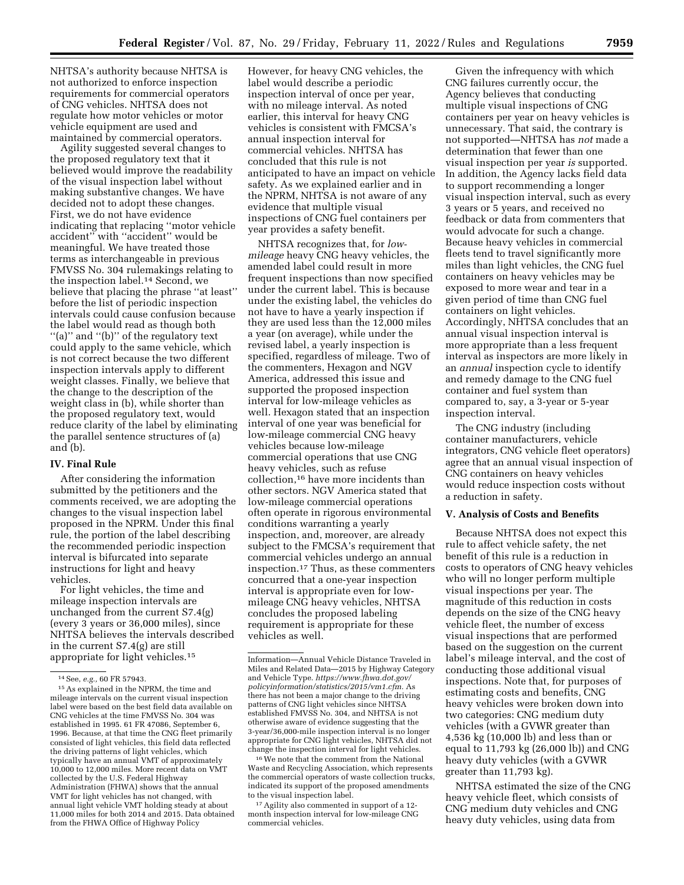NHTSA's authority because NHTSA is not authorized to enforce inspection requirements for commercial operators of CNG vehicles. NHTSA does not regulate how motor vehicles or motor vehicle equipment are used and maintained by commercial operators.

Agility suggested several changes to the proposed regulatory text that it believed would improve the readability of the visual inspection label without making substantive changes. We have decided not to adopt these changes. First, we do not have evidence indicating that replacing ''motor vehicle accident'' with ''accident'' would be meaningful. We have treated those terms as interchangeable in previous FMVSS No. 304 rulemakings relating to the inspection label.14 Second, we believe that placing the phrase ''at least'' before the list of periodic inspection intervals could cause confusion because the label would read as though both ''(a)'' and ''(b)'' of the regulatory text could apply to the same vehicle, which is not correct because the two different inspection intervals apply to different weight classes. Finally, we believe that the change to the description of the weight class in (b), while shorter than the proposed regulatory text, would reduce clarity of the label by eliminating the parallel sentence structures of (a) and (b).

# **IV. Final Rule**

After considering the information submitted by the petitioners and the comments received, we are adopting the changes to the visual inspection label proposed in the NPRM. Under this final rule, the portion of the label describing the recommended periodic inspection interval is bifurcated into separate instructions for light and heavy vehicles.

For light vehicles, the time and mileage inspection intervals are unchanged from the current S7.4(g) (every 3 years or 36,000 miles), since NHTSA believes the intervals described in the current S7.4(g) are still appropriate for light vehicles.15

However, for heavy CNG vehicles, the label would describe a periodic inspection interval of once per year, with no mileage interval. As noted earlier, this interval for heavy CNG vehicles is consistent with FMCSA's annual inspection interval for commercial vehicles. NHTSA has concluded that this rule is not anticipated to have an impact on vehicle safety. As we explained earlier and in the NPRM, NHTSA is not aware of any evidence that multiple visual inspections of CNG fuel containers per year provides a safety benefit.

NHTSA recognizes that, for *lowmileage* heavy CNG heavy vehicles, the amended label could result in more frequent inspections than now specified under the current label. This is because under the existing label, the vehicles do not have to have a yearly inspection if they are used less than the 12,000 miles a year (on average), while under the revised label, a yearly inspection is specified, regardless of mileage. Two of the commenters, Hexagon and NGV America, addressed this issue and supported the proposed inspection interval for low-mileage vehicles as well. Hexagon stated that an inspection interval of one year was beneficial for low-mileage commercial CNG heavy vehicles because low-mileage commercial operations that use CNG heavy vehicles, such as refuse collection,16 have more incidents than other sectors. NGV America stated that low-mileage commercial operations often operate in rigorous environmental conditions warranting a yearly inspection, and, moreover, are already subject to the FMCSA's requirement that commercial vehicles undergo an annual inspection.17 Thus, as these commenters concurred that a one-year inspection interval is appropriate even for lowmileage CNG heavy vehicles, NHTSA concludes the proposed labeling requirement is appropriate for these vehicles as well.

16We note that the comment from the National Waste and Recycling Association, which represents the commercial operators of waste collection trucks, indicated its support of the proposed amendments to the visual inspection label.

17Agility also commented in support of a 12 month inspection interval for low-mileage CNG commercial vehicles.

Given the infrequency with which CNG failures currently occur, the Agency believes that conducting multiple visual inspections of CNG containers per year on heavy vehicles is unnecessary. That said, the contrary is not supported—NHTSA has *not* made a determination that fewer than one visual inspection per year *is* supported. In addition, the Agency lacks field data to support recommending a longer visual inspection interval, such as every 3 years or 5 years, and received no feedback or data from commenters that would advocate for such a change. Because heavy vehicles in commercial fleets tend to travel significantly more miles than light vehicles, the CNG fuel containers on heavy vehicles may be exposed to more wear and tear in a given period of time than CNG fuel containers on light vehicles. Accordingly, NHTSA concludes that an annual visual inspection interval is more appropriate than a less frequent interval as inspectors are more likely in an *annual* inspection cycle to identify and remedy damage to the CNG fuel container and fuel system than compared to, say, a 3-year or 5-year inspection interval.

The CNG industry (including container manufacturers, vehicle integrators, CNG vehicle fleet operators) agree that an annual visual inspection of CNG containers on heavy vehicles would reduce inspection costs without a reduction in safety.

# **V. Analysis of Costs and Benefits**

Because NHTSA does not expect this rule to affect vehicle safety, the net benefit of this rule is a reduction in costs to operators of CNG heavy vehicles who will no longer perform multiple visual inspections per year. The magnitude of this reduction in costs depends on the size of the CNG heavy vehicle fleet, the number of excess visual inspections that are performed based on the suggestion on the current label's mileage interval, and the cost of conducting those additional visual inspections. Note that, for purposes of estimating costs and benefits, CNG heavy vehicles were broken down into two categories: CNG medium duty vehicles (with a GVWR greater than 4,536 kg (10,000 lb) and less than or equal to 11,793 kg (26,000 lb)) and CNG heavy duty vehicles (with a GVWR greater than 11,793 kg).

NHTSA estimated the size of the CNG heavy vehicle fleet, which consists of CNG medium duty vehicles and CNG heavy duty vehicles, using data from

<sup>14</sup>See, *e.g.,* 60 FR 57943.

<sup>15</sup>As explained in the NPRM, the time and mileage intervals on the current visual inspection label were based on the best field data available on CNG vehicles at the time FMVSS No. 304 was established in 1995. 61 FR 47086, September 6, 1996. Because, at that time the CNG fleet primarily consisted of light vehicles, this field data reflected the driving patterns of light vehicles, which typically have an annual VMT of approximately 10,000 to 12,000 miles. More recent data on VMT collected by the U.S. Federal Highway Administration (FHWA) shows that the annual VMT for light vehicles has not changed, with annual light vehicle VMT holding steady at about 11,000 miles for both 2014 and 2015. Data obtained from the FHWA Office of Highway Policy

Information—Annual Vehicle Distance Traveled in Miles and Related Data—2015 by Highway Category and Vehicle Type. *[https://www.fhwa.dot.gov/](https://www.fhwa.dot.gov/policyinformation/statistics/2015/vm1.cfm) [policyinformation/statistics/2015/vm1.cfm.](https://www.fhwa.dot.gov/policyinformation/statistics/2015/vm1.cfm)* As there has not been a major change to the driving patterns of CNG light vehicles since NHTSA established FMVSS No. 304, and NHTSA is not otherwise aware of evidence suggesting that the 3-year/36,000-mile inspection interval is no longer appropriate for CNG light vehicles, NHTSA did not change the inspection interval for light vehicles.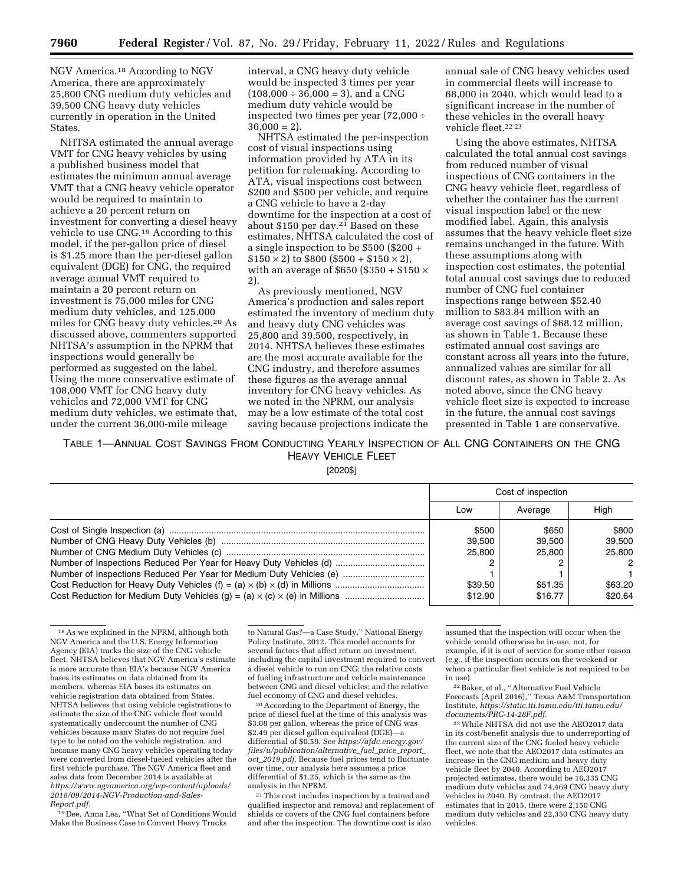NGV America.18 According to NGV America, there are approximately 25,800 CNG medium duty vehicles and 39,500 CNG heavy duty vehicles currently in operation in the United States.

NHTSA estimated the annual average VMT for CNG heavy vehicles by using a published business model that estimates the minimum annual average VMT that a CNG heavy vehicle operator would be required to maintain to achieve a 20 percent return on investment for converting a diesel heavy vehicle to use CNG.19 According to this model, if the per-gallon price of diesel is \$1.25 more than the per-diesel gallon equivalent (DGE) for CNG, the required average annual VMT required to maintain a 20 percent return on investment is 75,000 miles for CNG medium duty vehicles, and 125,000 miles for CNG heavy duty vehicles.20 As discussed above, commenters supported NHTSA's assumption in the NPRM that inspections would generally be performed as suggested on the label. Using the more conservative estimate of 108,000 VMT for CNG heavy duty vehicles and 72,000 VMT for CNG medium duty vehicles, we estimate that, under the current 36,000-mile mileage

interval, a CNG heavy duty vehicle would be inspected 3 times per year  $(108,000 \div 36,000 = 3)$ , and a CNG medium duty vehicle would be inspected two times per year (72,000 ÷  $36,000 = 2$ ).

NHTSA estimated the per-inspection cost of visual inspections using information provided by ATA in its petition for rulemaking. According to ATA, visual inspections cost between \$200 and \$500 per vehicle, and require a CNG vehicle to have a 2-day downtime for the inspection at a cost of about \$150 per day.<sup>21</sup> Based on these estimates, NHTSA calculated the cost of a single inspection to be \$500 (\$200 +  $$150 \times 2$$  to \$800 (\$500 + \$150  $\times 2$$ ), with an average of \$650 (\$350 + \$150  $\times$ 2).

As previously mentioned, NGV America's production and sales report estimated the inventory of medium duty and heavy duty CNG vehicles was 25,800 and 39,500, respectively, in 2014. NHTSA believes these estimates are the most accurate available for the CNG industry, and therefore assumes these figures as the average annual inventory for CNG heavy vehicles. As we noted in the NPRM, our analysis may be a low estimate of the total cost saving because projections indicate the

annual sale of CNG heavy vehicles used in commercial fleets will increase to 68,000 in 2040, which would lead to a significant increase in the number of these vehicles in the overall heavy vehicle fleet.22 23

Using the above estimates, NHTSA calculated the total annual cost savings from reduced number of visual inspections of CNG containers in the CNG heavy vehicle fleet, regardless of whether the container has the current visual inspection label or the new modified label. Again, this analysis assumes that the heavy vehicle fleet size remains unchanged in the future. With these assumptions along with inspection cost estimates, the potential total annual cost savings due to reduced number of CNG fuel container inspections range between \$52.40 million to \$83.84 million with an average cost savings of \$68.12 million, as shown in Table 1. Because these estimated annual cost savings are constant across all years into the future, annualized values are similar for all discount rates, as shown in Table 2. As noted above, since the CNG heavy vehicle fleet size is expected to increase in the future, the annual cost savings presented in Table 1 are conservative.

TABLE 1—ANNUAL COST SAVINGS FROM CONDUCTING YEARLY INSPECTION OF ALL CNG CONTAINERS ON THE CNG HEAVY VEHICLE FLEET

[2020\$]

|                                                                     | Cost of inspection |         |         |
|---------------------------------------------------------------------|--------------------|---------|---------|
|                                                                     | Low                | Average | Hiah    |
|                                                                     | \$500              | \$650   | \$800   |
|                                                                     | 39.500             | 39.500  | 39.500  |
|                                                                     | 25,800             | 25,800  | 25,800  |
|                                                                     |                    |         | 2       |
| Number of Inspections Reduced Per Year for Medium Duty Vehicles (e) |                    |         |         |
|                                                                     | \$39.50            | \$51.35 | \$63.20 |
|                                                                     | \$12.90            | \$16.77 | \$20.64 |

<sup>18</sup>As we explained in the NPRM, although both NGV America and the U.S. Energy Information Agency (EIA) tracks the size of the CNG vehicle fleet, NHTSA believes that NGV America's estimate is more accurate than EIA's because NGV America bases its estimates on data obtained from its members, whereas EIA bases its estimates on vehicle registration data obtained from States. NHTSA believes that using vehicle registrations to estimate the size of the CNG vehicle fleet would systematically undercount the number of CNG vehicles because many States do not require fuel type to be noted on the vehicle registration, and because many CNG heavy vehicles operating today were converted from diesel-fueled vehicles after the first vehicle purchase. The NGV America fleet and sales data from December 2014 is available at *[https://www.ngvamerica.org/wp-content/uploads/](https://www.ngvamerica.org/wp-content/uploads/2018/09/2014-NGV-Production-and-Sales-Report.pdf) [2018/09/2014-NGV-Production-and-Sales-](https://www.ngvamerica.org/wp-content/uploads/2018/09/2014-NGV-Production-and-Sales-Report.pdf)[Report.pdf.](https://www.ngvamerica.org/wp-content/uploads/2018/09/2014-NGV-Production-and-Sales-Report.pdf)* 

19 Dee, Anna Lea, ''What Set of Conditions Would Make the Business Case to Convert Heavy Trucks

to Natural Gas?—a Case Study,'' National Energy Policy Institute, 2012. This model accounts for several factors that affect return on investment, including the capital investment required to convert a diesel vehicle to run on CNG; the relative costs of fueling infrastructure and vehicle maintenance between CNG and diesel vehicles; and the relative fuel economy of CNG and diesel vehicles.

20According to the Department of Energy, the price of diesel fuel at the time of this analysis was \$3.08 per gallon, whereas the price of CNG was \$2.49 per diesel gallon equivalent (DGE)—a differential of \$0.59. See *[https://afdc.energy.gov/](https://afdc.energy.gov/files/u/publication/alternative_fuel_price_report_oct_2019.pdf)  [files/u/publication/alternative](https://afdc.energy.gov/files/u/publication/alternative_fuel_price_report_oct_2019.pdf)*\_*fuel*\_*price*\_*report*\_ *oct*\_*[2019.pdf.](https://afdc.energy.gov/files/u/publication/alternative_fuel_price_report_oct_2019.pdf)* Because fuel prices tend to fluctuate over time, our analysis here assumes a price differential of \$1.25, which is the same as the analysis in the NPRM.

21This cost includes inspection by a trained and qualified inspector and removal and replacement of shields or covers of the CNG fuel containers before and after the inspection. The downtime cost is also

assumed that the inspection will occur when the vehicle would otherwise be in-use, not, for example, if it is out of service for some other reason (*e.g.,* if the inspection occurs on the weekend or when a particular fleet vehicle is not required to be in use).

22Baker, et al., ''Alternative Fuel Vehicle Forecasts (April 2016),'' Texas A&M Transportation Institute, *[https://static.tti.tamu.edu/tti.tamu.edu/](https://static.tti.tamu.edu/tti.tamu.edu/documents/PRC-14-28F.pdf) [documents/PRC-14-28F.pdf.](https://static.tti.tamu.edu/tti.tamu.edu/documents/PRC-14-28F.pdf)* 

23While NHTSA did not use the AEO2017 data in its cost/benefit analysis due to underreporting of the current size of the CNG fueled heavy vehicle fleet, we note that the AEO2017 data estimates an increase in the CNG medium and heavy duty vehicle fleet by 2040. According to AEO2017 projected estimates, there would be 16,335 CNG medium duty vehicles and 74,469 CNG heavy duty vehicles in 2040. By contrast, the AEO2017 estimates that in 2015, there were 2,150 CNG medium duty vehicles and 22,350 CNG heavy duty vehicles.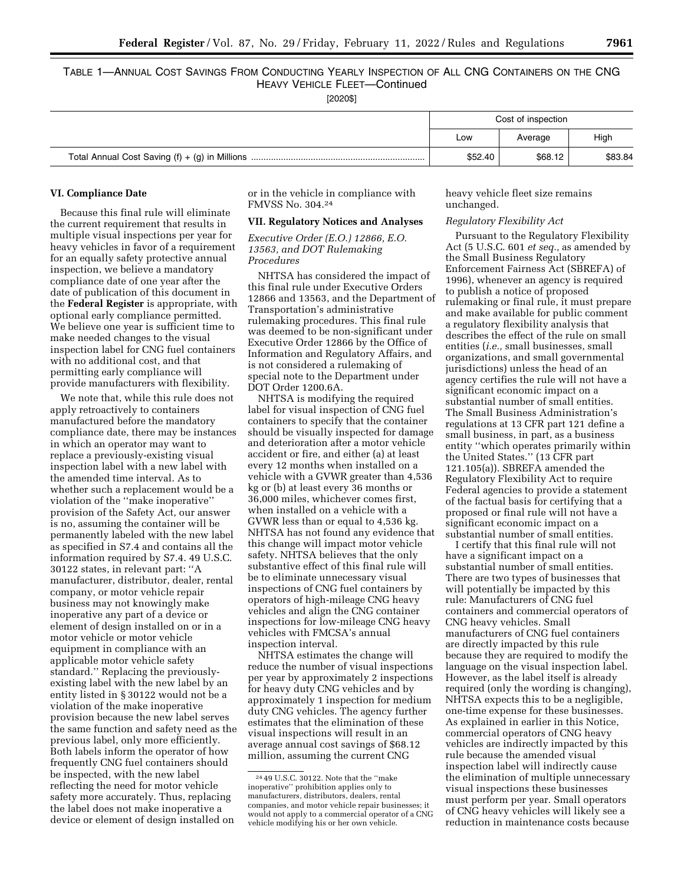# TABLE 1—ANNUAL COST SAVINGS FROM CONDUCTING YEARLY INSPECTION OF ALL CNG CONTAINERS ON THE CNG HEAVY VEHICLE FLEET—Continued

[2020\$]

| Cost of inspection |         |         |
|--------------------|---------|---------|
| Low                | Average | High    |
| \$52.40            | \$68.12 | \$83.84 |

# **VI. Compliance Date**

Because this final rule will eliminate the current requirement that results in multiple visual inspections per year for heavy vehicles in favor of a requirement for an equally safety protective annual inspection, we believe a mandatory compliance date of one year after the date of publication of this document in the **Federal Register** is appropriate, with optional early compliance permitted. We believe one year is sufficient time to make needed changes to the visual inspection label for CNG fuel containers with no additional cost, and that permitting early compliance will provide manufacturers with flexibility.

We note that, while this rule does not apply retroactively to containers manufactured before the mandatory compliance date, there may be instances in which an operator may want to replace a previously-existing visual inspection label with a new label with the amended time interval. As to whether such a replacement would be a violation of the ''make inoperative'' provision of the Safety Act, our answer is no, assuming the container will be permanently labeled with the new label as specified in S7.4 and contains all the information required by S7.4. 49 U.S.C. 30122 states, in relevant part: ''A manufacturer, distributor, dealer, rental company, or motor vehicle repair business may not knowingly make inoperative any part of a device or element of design installed on or in a motor vehicle or motor vehicle equipment in compliance with an applicable motor vehicle safety standard.'' Replacing the previouslyexisting label with the new label by an entity listed in § 30122 would not be a violation of the make inoperative provision because the new label serves the same function and safety need as the previous label, only more efficiently. Both labels inform the operator of how frequently CNG fuel containers should be inspected, with the new label reflecting the need for motor vehicle safety more accurately. Thus, replacing the label does not make inoperative a device or element of design installed on

or in the vehicle in compliance with FMVSS No. 304.24

# **VII. Regulatory Notices and Analyses**

*Executive Order (E.O.) 12866, E.O. 13563, and DOT Rulemaking Procedures* 

NHTSA has considered the impact of this final rule under Executive Orders 12866 and 13563, and the Department of Transportation's administrative rulemaking procedures. This final rule was deemed to be non-significant under Executive Order 12866 by the Office of Information and Regulatory Affairs, and is not considered a rulemaking of special note to the Department under DOT Order 1200.6A.

NHTSA is modifying the required label for visual inspection of CNG fuel containers to specify that the container should be visually inspected for damage and deterioration after a motor vehicle accident or fire, and either (a) at least every 12 months when installed on a vehicle with a GVWR greater than 4,536 kg or (b) at least every 36 months or 36,000 miles, whichever comes first, when installed on a vehicle with a GVWR less than or equal to 4,536 kg. NHTSA has not found any evidence that this change will impact motor vehicle safety. NHTSA believes that the only substantive effect of this final rule will be to eliminate unnecessary visual inspections of CNG fuel containers by operators of high-mileage CNG heavy vehicles and align the CNG container inspections for low-mileage CNG heavy vehicles with FMCSA's annual inspection interval.

NHTSA estimates the change will reduce the number of visual inspections per year by approximately 2 inspections for heavy duty CNG vehicles and by approximately 1 inspection for medium duty CNG vehicles. The agency further estimates that the elimination of these visual inspections will result in an average annual cost savings of \$68.12 million, assuming the current CNG

heavy vehicle fleet size remains unchanged.

## *Regulatory Flexibility Act*

Pursuant to the Regulatory Flexibility Act (5 U.S.C. 601 *et seq.,* as amended by the Small Business Regulatory Enforcement Fairness Act (SBREFA) of 1996), whenever an agency is required to publish a notice of proposed rulemaking or final rule, it must prepare and make available for public comment a regulatory flexibility analysis that describes the effect of the rule on small entities (*i.e.,* small businesses, small organizations, and small governmental jurisdictions) unless the head of an agency certifies the rule will not have a significant economic impact on a substantial number of small entities. The Small Business Administration's regulations at 13 CFR part 121 define a small business, in part, as a business entity ''which operates primarily within the United States.'' (13 CFR part 121.105(a)). SBREFA amended the Regulatory Flexibility Act to require Federal agencies to provide a statement of the factual basis for certifying that a proposed or final rule will not have a significant economic impact on a substantial number of small entities.

I certify that this final rule will not have a significant impact on a substantial number of small entities. There are two types of businesses that will potentially be impacted by this rule: Manufacturers of CNG fuel containers and commercial operators of CNG heavy vehicles. Small manufacturers of CNG fuel containers are directly impacted by this rule because they are required to modify the language on the visual inspection label. However, as the label itself is already required (only the wording is changing), NHTSA expects this to be a negligible, one-time expense for these businesses. As explained in earlier in this Notice, commercial operators of CNG heavy vehicles are indirectly impacted by this rule because the amended visual inspection label will indirectly cause the elimination of multiple unnecessary visual inspections these businesses must perform per year. Small operators of CNG heavy vehicles will likely see a reduction in maintenance costs because

<sup>24</sup> 49 U.S.C. 30122. Note that the ''make inoperative'' prohibition applies only to manufacturers, distributors, dealers, rental companies, and motor vehicle repair businesses; it would not apply to a commercial operator of a CNG vehicle modifying his or her own vehicle.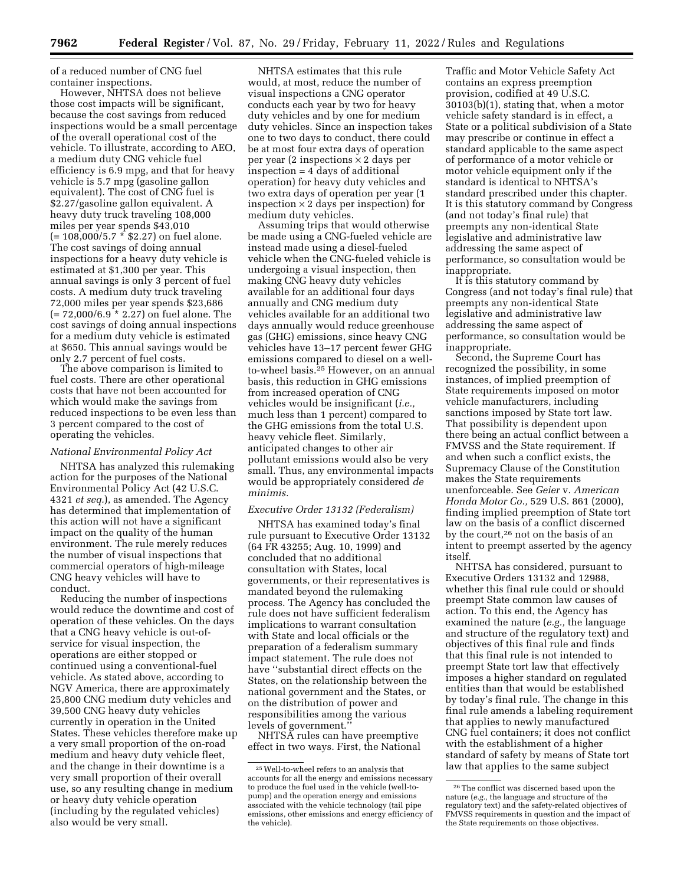of a reduced number of CNG fuel container inspections.

However, NHTSA does not believe those cost impacts will be significant, because the cost savings from reduced inspections would be a small percentage of the overall operational cost of the vehicle. To illustrate, according to AEO, a medium duty CNG vehicle fuel efficiency is 6.9 mpg, and that for heavy vehicle is 5.7 mpg (gasoline gallon equivalent). The cost of CNG fuel is \$2.27/gasoline gallon equivalent. A heavy duty truck traveling 108,000 miles per year spends \$43,010 (= 108,000/5.7 \* \$2.27) on fuel alone. The cost savings of doing annual inspections for a heavy duty vehicle is estimated at \$1,300 per year. This annual savings is only 3 percent of fuel costs. A medium duty truck traveling 72,000 miles per year spends \$23,686 (= 72,000/6.9 \* 2.27) on fuel alone. The cost savings of doing annual inspections for a medium duty vehicle is estimated at \$650. This annual savings would be only 2.7 percent of fuel costs.

The above comparison is limited to fuel costs. There are other operational costs that have not been accounted for which would make the savings from reduced inspections to be even less than 3 percent compared to the cost of operating the vehicles.

# *National Environmental Policy Act*

NHTSA has analyzed this rulemaking action for the purposes of the National Environmental Policy Act (42 U.S.C. 4321 *et seq.*), as amended. The Agency has determined that implementation of this action will not have a significant impact on the quality of the human environment. The rule merely reduces the number of visual inspections that commercial operators of high-mileage CNG heavy vehicles will have to conduct.

Reducing the number of inspections would reduce the downtime and cost of operation of these vehicles. On the days that a CNG heavy vehicle is out-ofservice for visual inspection, the operations are either stopped or continued using a conventional-fuel vehicle. As stated above, according to NGV America, there are approximately 25,800 CNG medium duty vehicles and 39,500 CNG heavy duty vehicles currently in operation in the United States. These vehicles therefore make up a very small proportion of the on-road medium and heavy duty vehicle fleet, and the change in their downtime is a very small proportion of their overall use, so any resulting change in medium or heavy duty vehicle operation (including by the regulated vehicles) also would be very small.

NHTSA estimates that this rule would, at most, reduce the number of visual inspections a CNG operator conducts each year by two for heavy duty vehicles and by one for medium duty vehicles. Since an inspection takes one to two days to conduct, there could be at most four extra days of operation per year (2 inspections × 2 days per inspection = 4 days of additional operation) for heavy duty vehicles and two extra days of operation per year (1 inspection  $\times$  2 days per inspection) for medium duty vehicles.

Assuming trips that would otherwise be made using a CNG-fueled vehicle are instead made using a diesel-fueled vehicle when the CNG-fueled vehicle is undergoing a visual inspection, then making CNG heavy duty vehicles available for an additional four days annually and CNG medium duty vehicles available for an additional two days annually would reduce greenhouse gas (GHG) emissions, since heavy CNG vehicles have 13–17 percent fewer GHG emissions compared to diesel on a wellto-wheel basis.25 However, on an annual basis, this reduction in GHG emissions from increased operation of CNG vehicles would be insignificant (*i.e.,*  much less than 1 percent) compared to the GHG emissions from the total U.S. heavy vehicle fleet. Similarly, anticipated changes to other air pollutant emissions would also be very small. Thus, any environmental impacts would be appropriately considered *de minimis.* 

#### *Executive Order 13132 (Federalism)*

NHTSA has examined today's final rule pursuant to Executive Order 13132 (64 FR 43255; Aug. 10, 1999) and concluded that no additional consultation with States, local governments, or their representatives is mandated beyond the rulemaking process. The Agency has concluded the rule does not have sufficient federalism implications to warrant consultation with State and local officials or the preparation of a federalism summary impact statement. The rule does not have ''substantial direct effects on the States, on the relationship between the national government and the States, or on the distribution of power and responsibilities among the various levels of government.''

NHTSA rules can have preemptive effect in two ways. First, the National

Traffic and Motor Vehicle Safety Act contains an express preemption provision, codified at 49 U.S.C. 30103(b)(1), stating that, when a motor vehicle safety standard is in effect, a State or a political subdivision of a State may prescribe or continue in effect a standard applicable to the same aspect of performance of a motor vehicle or motor vehicle equipment only if the standard is identical to NHTSA's standard prescribed under this chapter. It is this statutory command by Congress (and not today's final rule) that preempts any non-identical State legislative and administrative law addressing the same aspect of performance, so consultation would be inappropriate.

It is this statutory command by Congress (and not today's final rule) that preempts any non-identical State legislative and administrative law addressing the same aspect of performance, so consultation would be inappropriate.

Second, the Supreme Court has recognized the possibility, in some instances, of implied preemption of State requirements imposed on motor vehicle manufacturers, including sanctions imposed by State tort law. That possibility is dependent upon there being an actual conflict between a FMVSS and the State requirement. If and when such a conflict exists, the Supremacy Clause of the Constitution makes the State requirements unenforceable. See *Geier* v. *American Honda Motor Co.,* 529 U.S. 861 (2000), finding implied preemption of State tort law on the basis of a conflict discerned by the court,26 not on the basis of an intent to preempt asserted by the agency itself.

NHTSA has considered, pursuant to Executive Orders 13132 and 12988, whether this final rule could or should preempt State common law causes of action. To this end, the Agency has examined the nature (*e.g.,* the language and structure of the regulatory text) and objectives of this final rule and finds that this final rule is not intended to preempt State tort law that effectively imposes a higher standard on regulated entities than that would be established by today's final rule. The change in this final rule amends a labeling requirement that applies to newly manufactured CNG fuel containers; it does not conflict with the establishment of a higher standard of safety by means of State tort law that applies to the same subject

<sup>25</sup>Well-to-wheel refers to an analysis that accounts for all the energy and emissions necessary to produce the fuel used in the vehicle (well-topump) and the operation energy and emissions associated with the vehicle technology (tail pipe emissions, other emissions and energy efficiency of the vehicle).

<sup>26</sup>The conflict was discerned based upon the nature (*e.g.,* the language and structure of the regulatory text) and the safety-related objectives of FMVSS requirements in question and the impact of the State requirements on those objectives.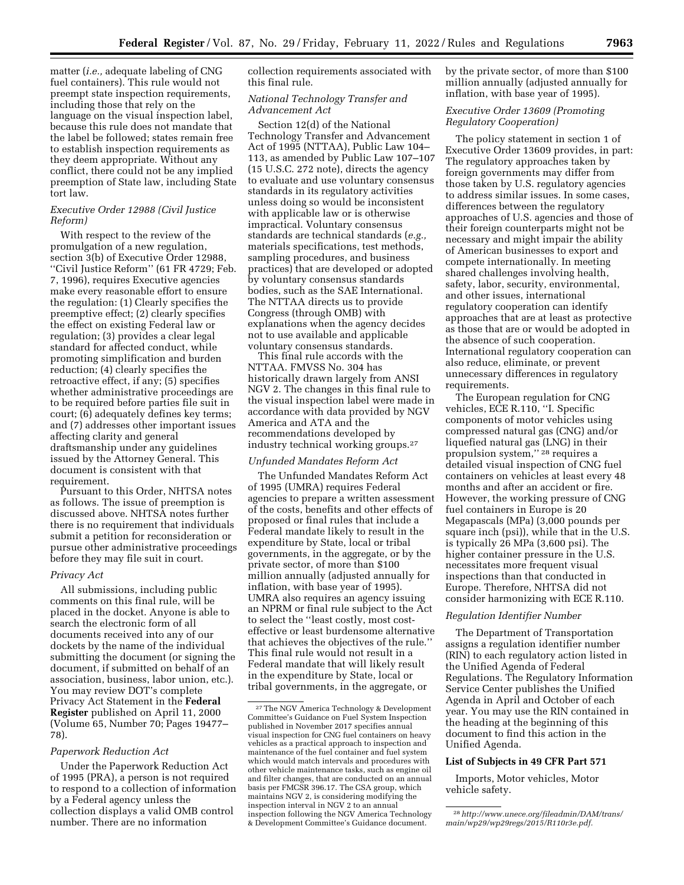matter (*i.e.,* adequate labeling of CNG fuel containers). This rule would not preempt state inspection requirements, including those that rely on the language on the visual inspection label, because this rule does not mandate that the label be followed; states remain free to establish inspection requirements as they deem appropriate. Without any conflict, there could not be any implied preemption of State law, including State tort law.

# *Executive Order 12988 (Civil Justice Reform)*

With respect to the review of the promulgation of a new regulation, section 3(b) of Executive Order 12988, ''Civil Justice Reform'' (61 FR 4729; Feb. 7, 1996), requires Executive agencies make every reasonable effort to ensure the regulation: (1) Clearly specifies the preemptive effect; (2) clearly specifies the effect on existing Federal law or regulation; (3) provides a clear legal standard for affected conduct, while promoting simplification and burden reduction; (4) clearly specifies the retroactive effect, if any; (5) specifies whether administrative proceedings are to be required before parties file suit in court; (6) adequately defines key terms; and (7) addresses other important issues affecting clarity and general draftsmanship under any guidelines issued by the Attorney General. This document is consistent with that requirement.

Pursuant to this Order, NHTSA notes as follows. The issue of preemption is discussed above. NHTSA notes further there is no requirement that individuals submit a petition for reconsideration or pursue other administrative proceedings before they may file suit in court.

#### *Privacy Act*

All submissions, including public comments on this final rule, will be placed in the docket. Anyone is able to search the electronic form of all documents received into any of our dockets by the name of the individual submitting the document (or signing the document, if submitted on behalf of an association, business, labor union, etc.). You may review DOT's complete Privacy Act Statement in the **Federal Register** published on April 11, 2000 (Volume 65, Number 70; Pages 19477– 78).

#### *Paperwork Reduction Act*

Under the Paperwork Reduction Act of 1995 (PRA), a person is not required to respond to a collection of information by a Federal agency unless the collection displays a valid OMB control number. There are no information

collection requirements associated with this final rule.

# *National Technology Transfer and Advancement Act*

Section 12(d) of the National Technology Transfer and Advancement Act of 1995 (NTTAA), Public Law 104– 113, as amended by Public Law 107–107 (15 U.S.C. 272 note), directs the agency to evaluate and use voluntary consensus standards in its regulatory activities unless doing so would be inconsistent with applicable law or is otherwise impractical. Voluntary consensus standards are technical standards (*e.g.,*  materials specifications, test methods, sampling procedures, and business practices) that are developed or adopted by voluntary consensus standards bodies, such as the SAE International. The NTTAA directs us to provide Congress (through OMB) with explanations when the agency decides not to use available and applicable voluntary consensus standards.

This final rule accords with the NTTAA. FMVSS No. 304 has historically drawn largely from ANSI NGV 2. The changes in this final rule to the visual inspection label were made in accordance with data provided by NGV America and ATA and the recommendations developed by industry technical working groups.27

#### *Unfunded Mandates Reform Act*

The Unfunded Mandates Reform Act of 1995 (UMRA) requires Federal agencies to prepare a written assessment of the costs, benefits and other effects of proposed or final rules that include a Federal mandate likely to result in the expenditure by State, local or tribal governments, in the aggregate, or by the private sector, of more than \$100 million annually (adjusted annually for inflation, with base year of 1995). UMRA also requires an agency issuing an NPRM or final rule subject to the Act to select the ''least costly, most costeffective or least burdensome alternative that achieves the objectives of the rule.'' This final rule would not result in a Federal mandate that will likely result in the expenditure by State, local or tribal governments, in the aggregate, or

by the private sector, of more than \$100 million annually (adjusted annually for inflation, with base year of 1995).

# *Executive Order 13609 (Promoting Regulatory Cooperation)*

The policy statement in section 1 of Executive Order 13609 provides, in part: The regulatory approaches taken by foreign governments may differ from those taken by U.S. regulatory agencies to address similar issues. In some cases, differences between the regulatory approaches of U.S. agencies and those of their foreign counterparts might not be necessary and might impair the ability of American businesses to export and compete internationally. In meeting shared challenges involving health, safety, labor, security, environmental, and other issues, international regulatory cooperation can identify approaches that are at least as protective as those that are or would be adopted in the absence of such cooperation. International regulatory cooperation can also reduce, eliminate, or prevent unnecessary differences in regulatory requirements.

The European regulation for CNG vehicles, ECE R.110, ''I. Specific components of motor vehicles using compressed natural gas (CNG) and/or liquefied natural gas (LNG) in their propulsion system,'' 28 requires a detailed visual inspection of CNG fuel containers on vehicles at least every 48 months and after an accident or fire. However, the working pressure of CNG fuel containers in Europe is 20 Megapascals (MPa) (3,000 pounds per square inch (psi)), while that in the U.S. is typically 26 MPa (3,600 psi). The higher container pressure in the U.S. necessitates more frequent visual inspections than that conducted in Europe. Therefore, NHTSA did not consider harmonizing with ECE R.110.

#### *Regulation Identifier Number*

The Department of Transportation assigns a regulation identifier number (RIN) to each regulatory action listed in the Unified Agenda of Federal Regulations. The Regulatory Information Service Center publishes the Unified Agenda in April and October of each year. You may use the RIN contained in the heading at the beginning of this document to find this action in the Unified Agenda.

#### **List of Subjects in 49 CFR Part 571**

Imports, Motor vehicles, Motor vehicle safety.

<sup>27</sup>The NGV America Technology & Development Committee's Guidance on Fuel System Inspection published in November 2017 specifies annual visual inspection for CNG fuel containers on heavy vehicles as a practical approach to inspection and maintenance of the fuel container and fuel system which would match intervals and procedures with other vehicle maintenance tasks, such as engine oil and filter changes, that are conducted on an annual basis per FMCSR 396.17. The CSA group, which maintains NGV 2, is considering modifying the inspection interval in NGV 2 to an annual inspection following the NGV America Technology & Development Committee's Guidance document.

<sup>28</sup>*[http://www.unece.org/fileadmin/DAM/trans/](http://www.unece.org/fileadmin/DAM/trans/main/wp29/wp29regs/2015/R110r3e.pdf)  [main/wp29/wp29regs/2015/R110r3e.pdf.](http://www.unece.org/fileadmin/DAM/trans/main/wp29/wp29regs/2015/R110r3e.pdf)*